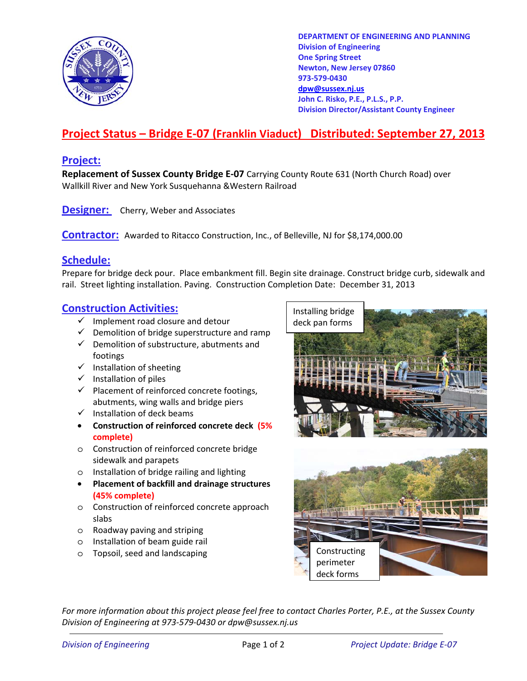

**DEPARTMENT OF ENGINEERING AND PLANNING Division of Engineering One Spring Street Newton, New Jersey 07860 973-579-0430 dpw@sussex.nj.us John C. Risko, P.E., P.L.S., P.P. Division Director/Assistant County Engineer** 

## **Project Status – Bridge E-07 (Franklin Viaduct) Distributed: September 27, 2013**

#### **Project:**

**Replacement of Sussex County Bridge E-07** Carrying County Route 631 (North Church Road) over Wallkill River and New York Susquehanna &Western Railroad

**Designer:** Cherry, Weber and Associates

**Contractor:** Awarded to Ritacco Construction, Inc., of Belleville, NJ for \$8,174,000.00

#### **Schedule:**

Prepare for bridge deck pour. Place embankment fill. Begin site drainage. Construct bridge curb, sidewalk and rail. Street lighting installation. Paving. Construction Completion Date: December 31, 2013

### **Construction Activities:** Installing bridge

- $\checkmark$  Implement road closure and detour  $\checkmark$  deck pan forms
- $\checkmark$  Demolition of bridge superstructure and ramp
- $\checkmark$  Demolition of substructure, abutments and footings
- $\checkmark$  Installation of sheeting
- $\checkmark$  Installation of piles
- $\checkmark$  Placement of reinforced concrete footings, abutments, wing walls and bridge piers
- $\checkmark$  Installation of deck beams
- **Construction of reinforced concrete deck (5% complete)**
- o Construction of reinforced concrete bridge sidewalk and parapets
- o Installation of bridge railing and lighting
- **Placement of backfill and drainage structures (45% complete)**
- o Construction of reinforced concrete approach slabs
- o Roadway paving and striping
- o Installation of beam guide rail
- o Topsoil, seed and landscaping





*For more information about this project please feel free to contact Charles Porter, P.E., at the Sussex County Division of Engineering at 973-579-0430 or dpw@sussex.nj.us*